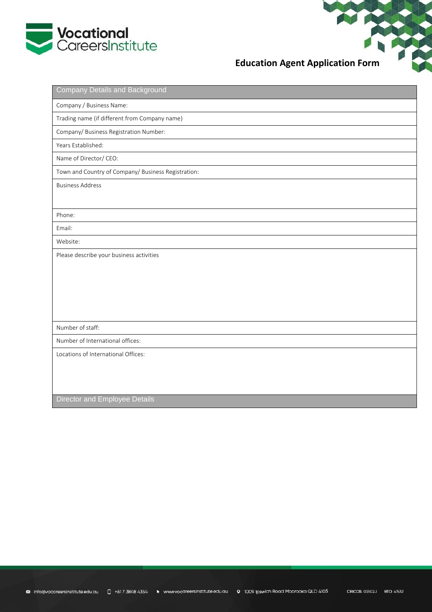

# **Education Agent Application Form**

| <b>Company Details and Background</b>               |
|-----------------------------------------------------|
| Company / Business Name:                            |
| Trading name (if different from Company name)       |
| Company/ Business Registration Number:              |
| Years Established:                                  |
| Name of Director/ CEO:                              |
| Town and Country of Company/ Business Registration: |
| <b>Business Address</b>                             |
|                                                     |
| Phone:                                              |
| Email:                                              |
| Website:                                            |
| Please describe your business activities            |
|                                                     |
|                                                     |
|                                                     |
|                                                     |
| Number of staff:                                    |
| Number of International offices:                    |
| Locations of International Offices:                 |
|                                                     |
|                                                     |
|                                                     |
| Director and Employee Details                       |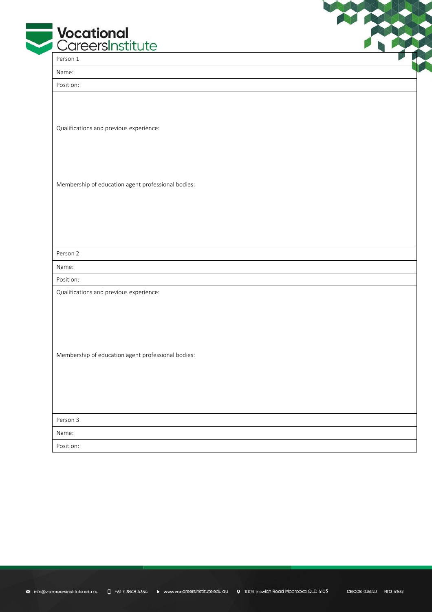| <b>Vocational</b><br>CareersInstitute              |  |
|----------------------------------------------------|--|
| Person 1                                           |  |
| Name:                                              |  |
| Position:                                          |  |
| Qualifications and previous experience:            |  |
| Membership of education agent professional bodies: |  |
|                                                    |  |
|                                                    |  |
| Person 2                                           |  |
| Name:                                              |  |
| Position:                                          |  |
| Qualifications and previous experience:            |  |
|                                                    |  |
|                                                    |  |
| Membership of education agent professional bodies: |  |
|                                                    |  |
|                                                    |  |
|                                                    |  |
| Person 3                                           |  |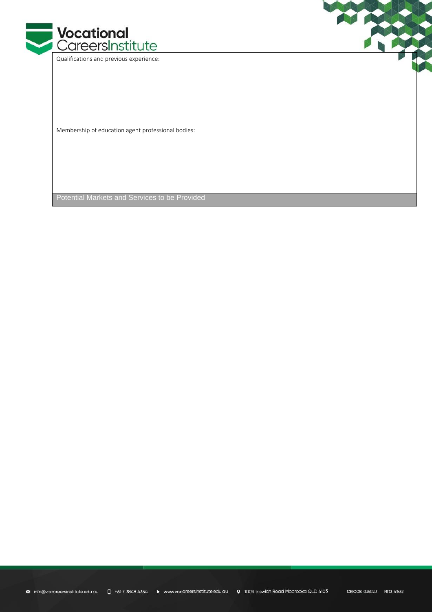

Qualifications and previous experience:

Membership of education agent professional bodies:

Potential Markets and Services to be Provided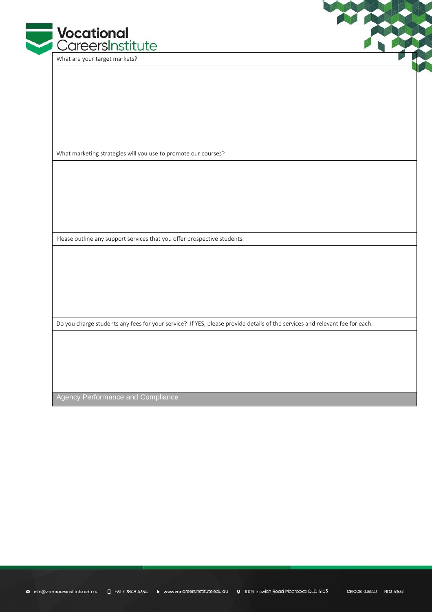

What are your target markets?

What marketing strategies will you use to promote our courses?

Please outline any support services that you offer prospective students.

Do you charge students any fees for your service? If YES, please provide details of the services and relevant fee for each.

Agency Performance and Compliance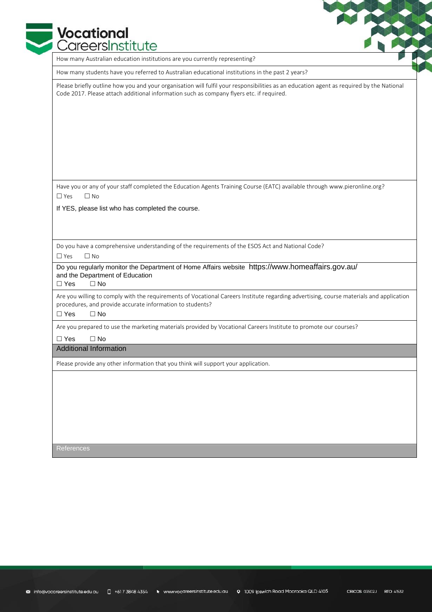## **Vocational** CareersInstitute

How many Australian education institutions are you currently representing?

How many students have you referred to Australian educational institutions in the past 2 years?

Please briefly outline how you and your organisation will fulfil your responsibilities as an education agent as required by the National Code 2017. Please attach additional information such as company flyers etc. if required.

Have you or any of your staff completed the Education Agents Training Course (EATC) available throug[h www.pieronline.org?](http://www.pieronline.org/)  $\Box$  Yes  $\Box$  No

If YES, please list who has completed the course.

Do you have a comprehensive understanding of the requirements of the ESOS Act and National Code?

□ Yes □ No

Do you regularly monitor the Department of Home Affairs website <https://www.homeaffairs.gov.au/> and the Department of Education

 $\Box$  Yes  $\Box$  No

Are you willing to comply with the requirements of Vocational Careers Institute regarding advertising, course materials and application procedures, and provide accurate information to students?

□ Yes □ No

Are you prepared to use the marketing materials provided by Vocational Careers Institute to promote our courses?

□ Yes □ No

Additional Information

Please provide any other information that you think will support your application.

References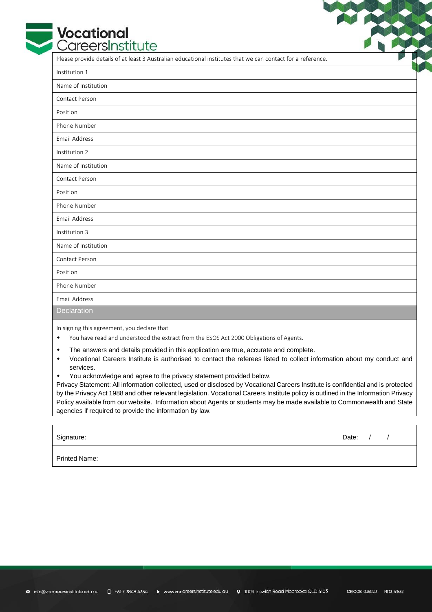# **Vocational**<br>CareersInstitute

Please provide details of at least 3 Australian educational institutes that we can contact for a reference.

| Institution 1       |  |
|---------------------|--|
| Name of Institution |  |
| Contact Person      |  |
| Position            |  |
| Phone Number        |  |
| Email Address       |  |
| Institution 2       |  |
| Name of Institution |  |
| Contact Person      |  |
| Position            |  |
| Phone Number        |  |
| Email Address       |  |
| Institution 3       |  |
| Name of Institution |  |
| Contact Person      |  |
| Position            |  |
| Phone Number        |  |
| Email Address       |  |
| Declaration         |  |

In signing this agreement, you declare that

- You have read and understood the extract from the ESOS Act 2000 Obligations of Agents.
- The answers and details provided in this application are true, accurate and complete.
- Vocational Careers Institute is authorised to contact the referees listed to collect information about my conduct and services.
- You acknowledge and agree to the privacy statement provided below.

Privacy Statement: All information collected, used or disclosed by Vocational Careers Institute is confidential and is protected by the Privacy Act 1988 and other relevant legislation. Vocational Careers Institute policy is outlined in the Information Privacy Policy available from our website. Information about Agents or students may be made available to Commonwealth and State agencies if required to provide the information by law.

Signature: Date: / /

Printed Name: